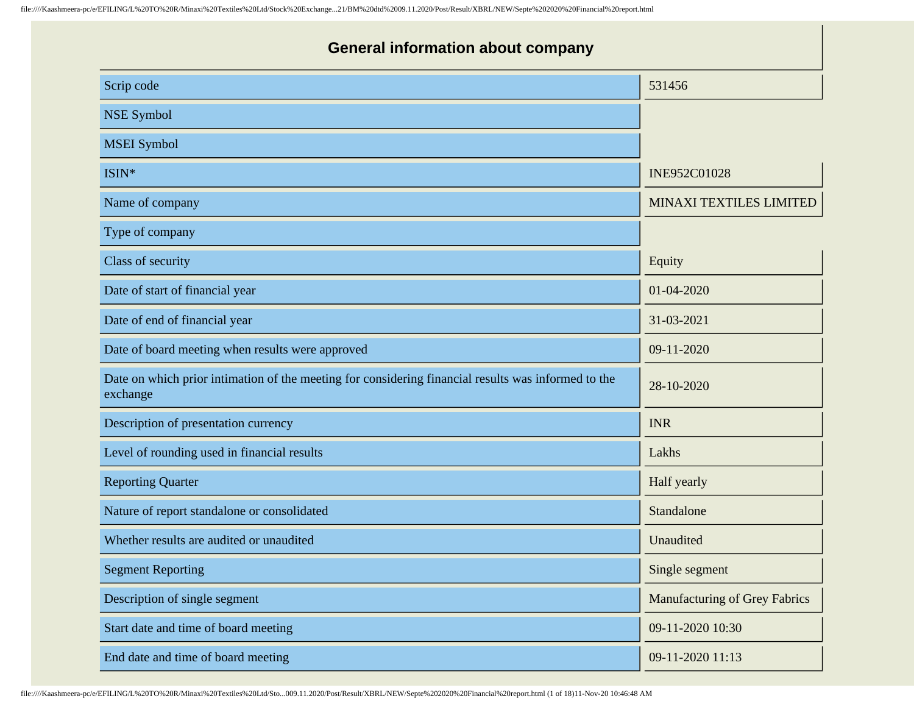| <b>General information about company</b>                                                                        |                                      |
|-----------------------------------------------------------------------------------------------------------------|--------------------------------------|
| Scrip code                                                                                                      | 531456                               |
| <b>NSE Symbol</b>                                                                                               |                                      |
| <b>MSEI</b> Symbol                                                                                              |                                      |
| ISIN*                                                                                                           | INE952C01028                         |
| Name of company                                                                                                 | <b>MINAXI TEXTILES LIMITED</b>       |
| Type of company                                                                                                 |                                      |
| Class of security                                                                                               | Equity                               |
| Date of start of financial year                                                                                 | 01-04-2020                           |
| Date of end of financial year                                                                                   | 31-03-2021                           |
| Date of board meeting when results were approved                                                                | 09-11-2020                           |
| Date on which prior intimation of the meeting for considering financial results was informed to the<br>exchange | 28-10-2020                           |
| Description of presentation currency                                                                            | <b>INR</b>                           |
| Level of rounding used in financial results                                                                     | Lakhs                                |
| <b>Reporting Quarter</b>                                                                                        | Half yearly                          |
| Nature of report standalone or consolidated                                                                     | Standalone                           |
| Whether results are audited or unaudited                                                                        | Unaudited                            |
| <b>Segment Reporting</b>                                                                                        | Single segment                       |
| Description of single segment                                                                                   | <b>Manufacturing of Grey Fabrics</b> |
| Start date and time of board meeting                                                                            | 09-11-2020 10:30                     |
| End date and time of board meeting                                                                              | 09-11-2020 11:13                     |

file:////Kaashmeera-pc/e/EFILING/L%20TO%20R/Minaxi%20Textiles%20Ltd/Sto...009.11.2020/Post/Result/XBRL/NEW/Septe%202020%20Financial%20report.html (1 of 18)11-Nov-20 10:46:48 AM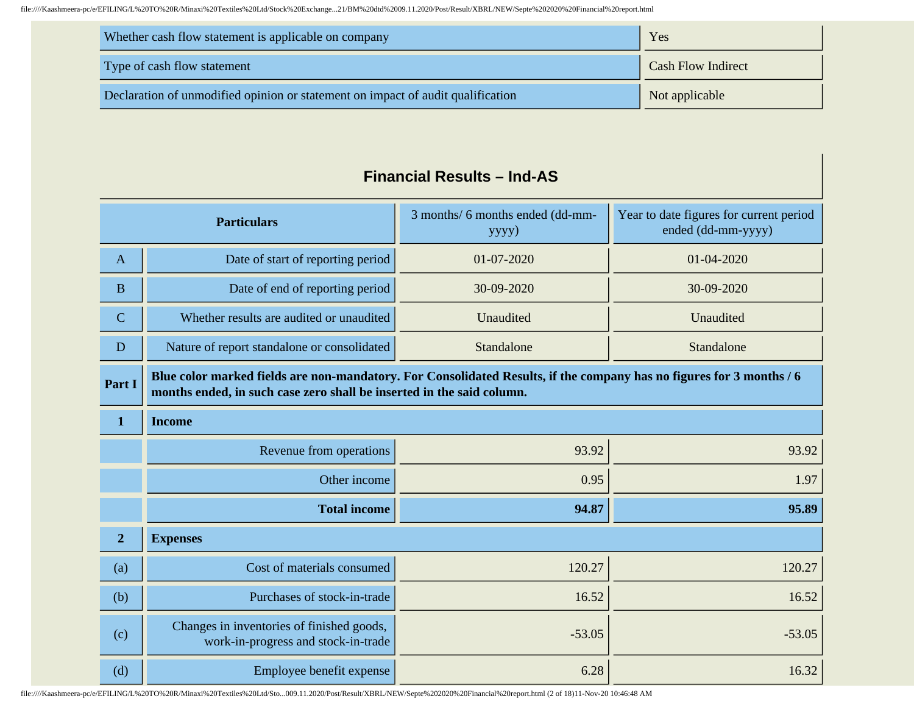| Whether cash flow statement is applicable on company                            | Yes                       |
|---------------------------------------------------------------------------------|---------------------------|
| Type of cash flow statement                                                     | <b>Cash Flow Indirect</b> |
| Declaration of unmodified opinion or statement on impact of audit qualification | Not applicable            |

#### **Financial Results – Ind-AS**

| <b>Particulars</b> |                                                                                                                                                                                               | 3 months/ 6 months ended (dd-mm-<br>yyyy) | Year to date figures for current period<br>ended (dd-mm-yyyy) |
|--------------------|-----------------------------------------------------------------------------------------------------------------------------------------------------------------------------------------------|-------------------------------------------|---------------------------------------------------------------|
| $\mathbf{A}$       | Date of start of reporting period                                                                                                                                                             | 01-07-2020                                | 01-04-2020                                                    |
| B                  | Date of end of reporting period                                                                                                                                                               | 30-09-2020                                | 30-09-2020                                                    |
| $\mathbf C$        | Whether results are audited or unaudited                                                                                                                                                      | Unaudited                                 | Unaudited                                                     |
| D                  | Nature of report standalone or consolidated                                                                                                                                                   | Standalone                                | Standalone                                                    |
| Part I             | Blue color marked fields are non-mandatory. For Consolidated Results, if the company has no figures for 3 months / 6<br>months ended, in such case zero shall be inserted in the said column. |                                           |                                                               |
| $\mathbf 1$        | <b>Income</b>                                                                                                                                                                                 |                                           |                                                               |
|                    | Revenue from operations                                                                                                                                                                       | 93.92                                     | 93.92                                                         |
|                    | Other income                                                                                                                                                                                  | 0.95                                      | 1.97                                                          |
|                    | <b>Total income</b>                                                                                                                                                                           | 94.87                                     | 95.89                                                         |
| $\overline{2}$     | <b>Expenses</b>                                                                                                                                                                               |                                           |                                                               |
| (a)                | Cost of materials consumed                                                                                                                                                                    | 120.27                                    | 120.27                                                        |
| (b)                | Purchases of stock-in-trade                                                                                                                                                                   | 16.52                                     | 16.52                                                         |
| (c)                | Changes in inventories of finished goods,<br>work-in-progress and stock-in-trade                                                                                                              | $-53.05$                                  | $-53.05$                                                      |
| (d)                | Employee benefit expense                                                                                                                                                                      | 6.28                                      | 16.32                                                         |

file:////Kaashmeera-pc/e/EFILING/L%20TO%20R/Minaxi%20Textiles%20Ltd/Sto...009.11.2020/Post/Result/XBRL/NEW/Septe%202020%20Financial%20report.html (2 of 18)11-Nov-20 10:46:48 AM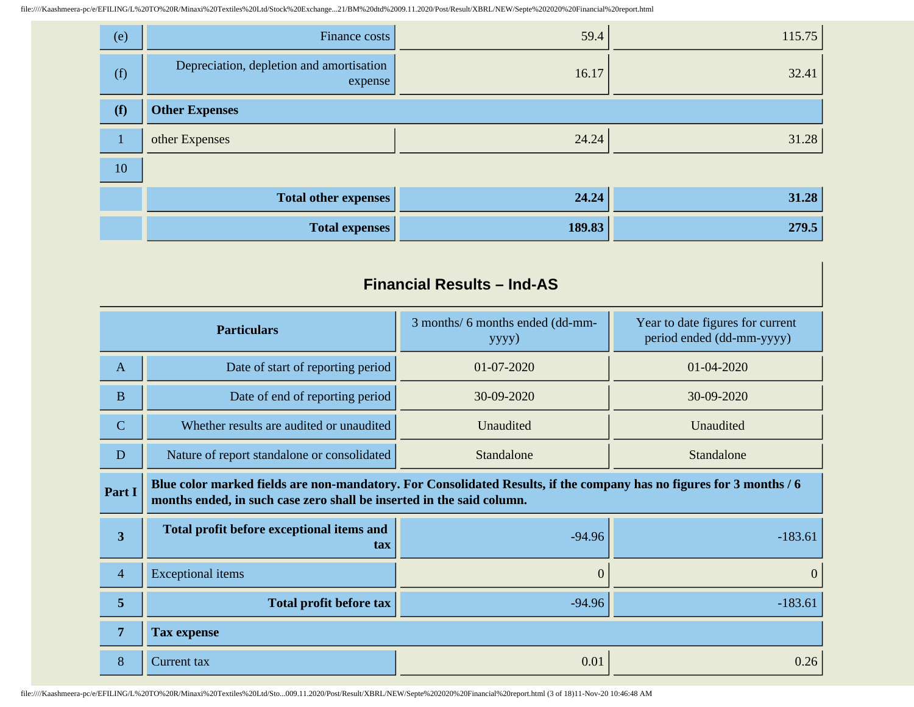| (e) | Finance costs                                       | 59.4   | 115.75 |
|-----|-----------------------------------------------------|--------|--------|
| (f) | Depreciation, depletion and amortisation<br>expense | 16.17  | 32.41  |
| (f) | <b>Other Expenses</b>                               |        |        |
|     | other Expenses                                      | 24.24  | 31.28  |
| 10  |                                                     |        |        |
|     | <b>Total other expenses</b>                         | 24.24  | 31.28  |
|     | <b>Total expenses</b>                               | 189.83 | 279.5  |

#### **Financial Results – Ind-AS**

| <b>Particulars</b>      |                                                                                                                                                                                               | 3 months/ 6 months ended (dd-mm-<br>yyyy) | Year to date figures for current<br>period ended (dd-mm-yyyy) |
|-------------------------|-----------------------------------------------------------------------------------------------------------------------------------------------------------------------------------------------|-------------------------------------------|---------------------------------------------------------------|
| $\mathbf{A}$            | Date of start of reporting period                                                                                                                                                             | 01-07-2020                                | $01 - 04 - 2020$                                              |
| $\mathbf{B}$            | Date of end of reporting period                                                                                                                                                               | 30-09-2020                                | 30-09-2020                                                    |
| $\mathbf C$             | Whether results are audited or unaudited                                                                                                                                                      | Unaudited                                 | Unaudited                                                     |
| $\mathbf D$             | Nature of report standalone or consolidated<br>Standalone                                                                                                                                     |                                           | Standalone                                                    |
| Part I                  | Blue color marked fields are non-mandatory. For Consolidated Results, if the company has no figures for 3 months / 6<br>months ended, in such case zero shall be inserted in the said column. |                                           |                                                               |
| $\overline{\mathbf{3}}$ | Total profit before exceptional items and<br>tax                                                                                                                                              | $-94.96$                                  | $-183.61$                                                     |
| $\overline{4}$          | <b>Exceptional</b> items                                                                                                                                                                      | $\overline{0}$                            | $\mathbf{0}$                                                  |
| 5                       | <b>Total profit before tax</b>                                                                                                                                                                | $-94.96$                                  | $-183.61$                                                     |
| $\overline{7}$          | <b>Tax expense</b>                                                                                                                                                                            |                                           |                                                               |
| 8                       | Current tax                                                                                                                                                                                   | 0.01                                      | 0.26                                                          |

file:////Kaashmeera-pc/e/EFILING/L%20TO%20R/Minaxi%20Textiles%20Ltd/Sto...009.11.2020/Post/Result/XBRL/NEW/Septe%202020%20Financial%20report.html (3 of 18)11-Nov-20 10:46:48 AM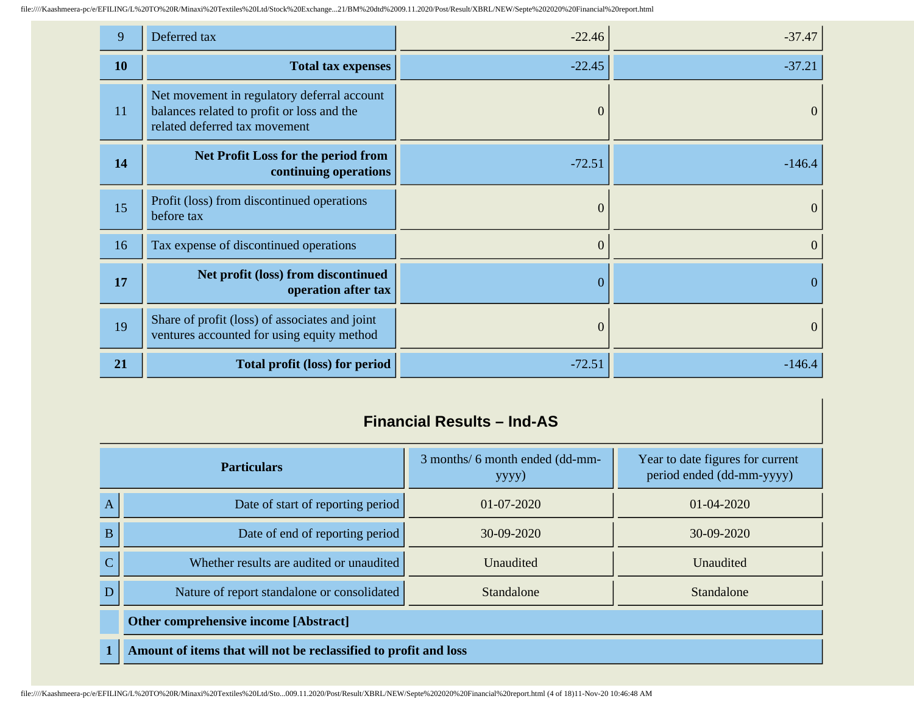| 9  | Deferred tax                                                                                                               | $-22.46$ | $-37.47$       |
|----|----------------------------------------------------------------------------------------------------------------------------|----------|----------------|
| 10 | <b>Total tax expenses</b>                                                                                                  | $-22.45$ | $-37.21$       |
| 11 | Net movement in regulatory deferral account<br>balances related to profit or loss and the<br>related deferred tax movement | 0        | $\theta$       |
| 14 | <b>Net Profit Loss for the period from</b><br>continuing operations                                                        | $-72.51$ | $-146.4$       |
| 15 | Profit (loss) from discontinued operations<br>before tax                                                                   | $\theta$ | $\overline{0}$ |
| 16 | Tax expense of discontinued operations                                                                                     | $\theta$ | $\overline{0}$ |
| 17 | Net profit (loss) from discontinued<br>operation after tax                                                                 | 0        | $\theta$       |
| 19 | Share of profit (loss) of associates and joint<br>ventures accounted for using equity method                               | $\theta$ | $\overline{0}$ |
| 21 | Total profit (loss) for period                                                                                             | $-72.51$ | $-146.4$       |

### **Financial Results – Ind-AS**

| <b>Particulars</b> |                                                                  | 3 months/ 6 month ended (dd-mm-<br>yyyy) | Year to date figures for current<br>period ended (dd-mm-yyyy) |
|--------------------|------------------------------------------------------------------|------------------------------------------|---------------------------------------------------------------|
| $\mathbf{A}$       | Date of start of reporting period                                | $01 - 07 - 2020$                         | $01 - 04 - 2020$                                              |
| B                  | Date of end of reporting period                                  | $30-09-2020$                             | $30-09-2020$                                                  |
| $\mathbf C$        | Whether results are audited or unaudited                         | <b>Unaudited</b>                         | <b>Unaudited</b>                                              |
| D                  | Nature of report standalone or consolidated                      | Standalone                               | Standalone                                                    |
|                    | <b>Other comprehensive income [Abstract]</b>                     |                                          |                                                               |
| $\mathbf{1}$       | Amount of items that will not be reclassified to profit and loss |                                          |                                                               |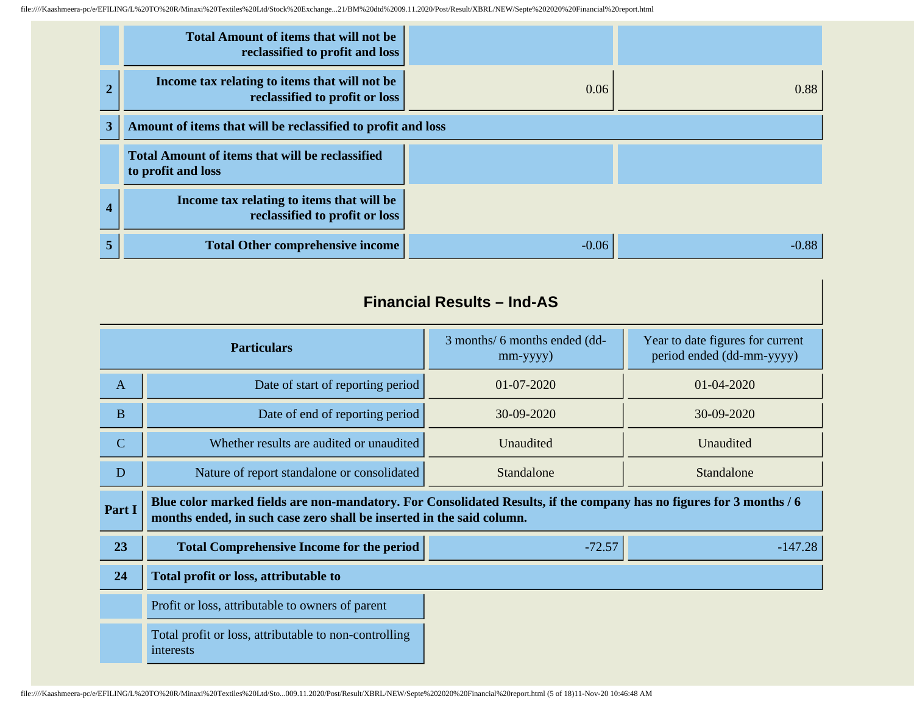|              | <b>Total Amount of items that will not be</b><br>reclassified to profit and loss |         |         |
|--------------|----------------------------------------------------------------------------------|---------|---------|
|              | Income tax relating to items that will not be<br>reclassified to profit or loss  | 0.06    | 0.88    |
| $\mathbf{3}$ | Amount of items that will be reclassified to profit and loss                     |         |         |
|              | <b>Total Amount of items that will be reclassified</b><br>to profit and loss     |         |         |
| 4            | Income tax relating to items that will be<br>reclassified to profit or loss      |         |         |
| 5            | <b>Total Other comprehensive income</b>                                          | $-0.06$ | $-0.88$ |

## **Financial Results – Ind-AS**

| <b>Particulars</b>                                             |                                                                                                                                                                                               | 3 months/ 6 months ended (dd-<br>$mm$ -yyyy $)$ | Year to date figures for current<br>period ended (dd-mm-yyyy) |
|----------------------------------------------------------------|-----------------------------------------------------------------------------------------------------------------------------------------------------------------------------------------------|-------------------------------------------------|---------------------------------------------------------------|
| $\mathbf{A}$                                                   | Date of start of reporting period                                                                                                                                                             | 01-07-2020                                      | 01-04-2020                                                    |
| $\bf{B}$                                                       | Date of end of reporting period                                                                                                                                                               | 30-09-2020                                      | 30-09-2020                                                    |
| $\mathbf C$                                                    | Whether results are audited or unaudited                                                                                                                                                      | Unaudited                                       | Unaudited                                                     |
| D<br>Nature of report standalone or consolidated<br>Standalone |                                                                                                                                                                                               | Standalone                                      |                                                               |
| Part I                                                         | Blue color marked fields are non-mandatory. For Consolidated Results, if the company has no figures for 3 months / 6<br>months ended, in such case zero shall be inserted in the said column. |                                                 |                                                               |
| 23                                                             | <b>Total Comprehensive Income for the period</b><br>$-72.57$                                                                                                                                  |                                                 | $-147.28$                                                     |
| 24                                                             | Total profit or loss, attributable to                                                                                                                                                         |                                                 |                                                               |
|                                                                | Profit or loss, attributable to owners of parent                                                                                                                                              |                                                 |                                                               |
|                                                                | Total profit or loss, attributable to non-controlling<br>interests                                                                                                                            |                                                 |                                                               |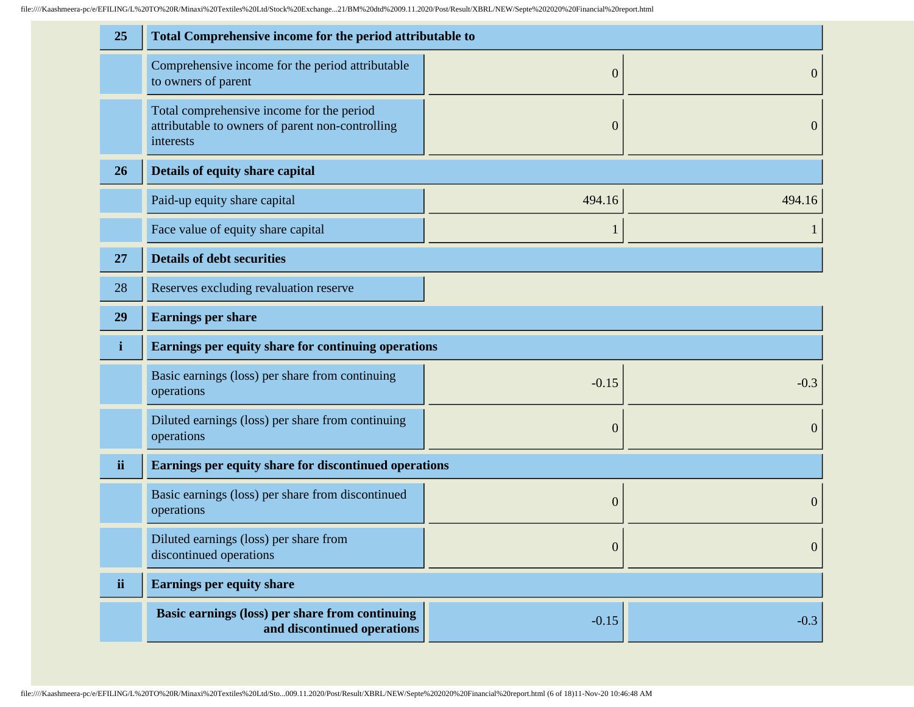| 25           | Total Comprehensive income for the period attributable to                                                  |                  |                  |
|--------------|------------------------------------------------------------------------------------------------------------|------------------|------------------|
|              | Comprehensive income for the period attributable<br>to owners of parent                                    | $\boldsymbol{0}$ | $\boldsymbol{0}$ |
|              | Total comprehensive income for the period<br>attributable to owners of parent non-controlling<br>interests | $\boldsymbol{0}$ | $\boldsymbol{0}$ |
| 26           | Details of equity share capital                                                                            |                  |                  |
|              | Paid-up equity share capital                                                                               | 494.16           | 494.16           |
|              | Face value of equity share capital                                                                         | 1                |                  |
| 27           | <b>Details of debt securities</b>                                                                          |                  |                  |
| 28           | Reserves excluding revaluation reserve                                                                     |                  |                  |
| 29           | <b>Earnings per share</b>                                                                                  |                  |                  |
| $\mathbf{i}$ | Earnings per equity share for continuing operations                                                        |                  |                  |
|              |                                                                                                            |                  |                  |
|              | Basic earnings (loss) per share from continuing<br>operations                                              | $-0.15$          | $-0.3$           |
|              | Diluted earnings (loss) per share from continuing<br>operations                                            | $\theta$         | $\boldsymbol{0}$ |
| ii           | Earnings per equity share for discontinued operations                                                      |                  |                  |
|              | Basic earnings (loss) per share from discontinued<br>operations                                            | $\boldsymbol{0}$ | $\boldsymbol{0}$ |
|              | Diluted earnings (loss) per share from<br>discontinued operations                                          | $\boldsymbol{0}$ | $\mathbf{0}$     |
| ii           | <b>Earnings per equity share</b>                                                                           |                  |                  |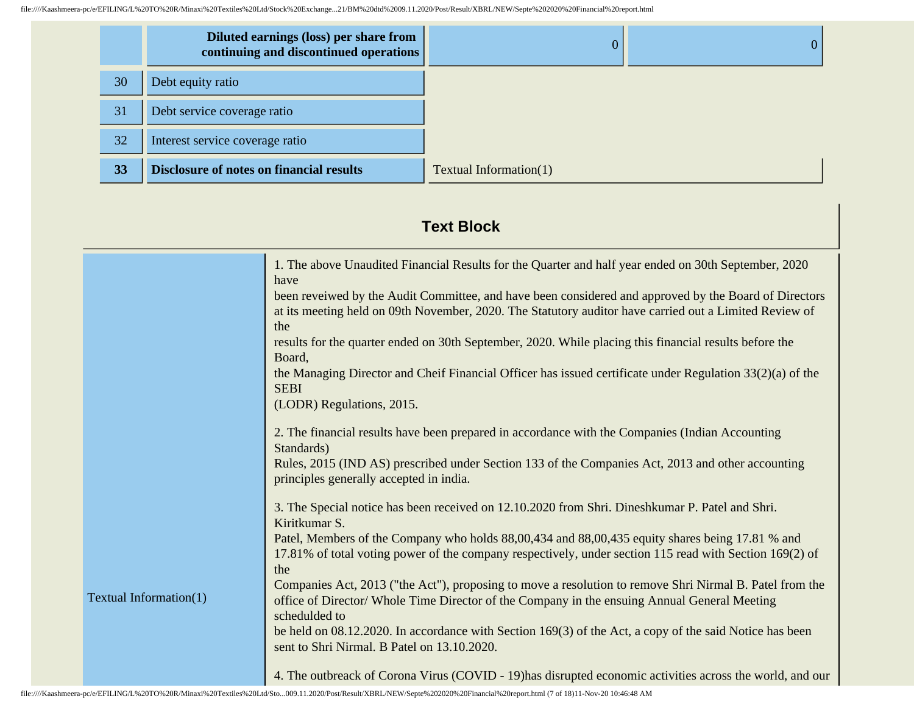|    | Diluted earnings (loss) per share from<br>continuing and discontinued operations | $\Omega$               |  |
|----|----------------------------------------------------------------------------------|------------------------|--|
| 30 | Debt equity ratio                                                                |                        |  |
| 31 | Debt service coverage ratio                                                      |                        |  |
| 32 | Interest service coverage ratio                                                  |                        |  |
| 33 | <b>Disclosure of notes on financial results</b>                                  | Textual Information(1) |  |

## **Text Block**

|                        | 1. The above Unaudited Financial Results for the Quarter and half year ended on 30th September, 2020      |
|------------------------|-----------------------------------------------------------------------------------------------------------|
|                        | have                                                                                                      |
|                        | been reveiwed by the Audit Committee, and have been considered and approved by the Board of Directors     |
|                        | at its meeting held on 09th November, 2020. The Statutory auditor have carried out a Limited Review of    |
|                        | the                                                                                                       |
|                        | results for the quarter ended on 30th September, 2020. While placing this financial results before the    |
|                        | Board,                                                                                                    |
|                        | the Managing Director and Cheif Financial Officer has issued certificate under Regulation 33(2)(a) of the |
|                        | <b>SEBI</b>                                                                                               |
|                        | (LODR) Regulations, 2015.                                                                                 |
|                        |                                                                                                           |
|                        | 2. The financial results have been prepared in accordance with the Companies (Indian Accounting           |
|                        | Standards)                                                                                                |
|                        | Rules, 2015 (IND AS) prescribed under Section 133 of the Companies Act, 2013 and other accounting         |
|                        | principles generally accepted in india.                                                                   |
|                        | 3. The Special notice has been received on 12.10.2020 from Shri. Dineshkumar P. Patel and Shri.           |
|                        | Kiritkumar S.                                                                                             |
|                        | Patel, Members of the Company who holds 88,00,434 and 88,00,435 equity shares being 17.81 % and           |
|                        | 17.81% of total voting power of the company respectively, under section 115 read with Section 169(2) of   |
|                        | the                                                                                                       |
|                        | Companies Act, 2013 ("the Act"), proposing to move a resolution to remove Shri Nirmal B. Patel from the   |
| Textual Information(1) | office of Director/Whole Time Director of the Company in the ensuing Annual General Meeting               |
|                        | schedulded to                                                                                             |
|                        | be held on 08.12.2020. In accordance with Section 169(3) of the Act, a copy of the said Notice has been   |
|                        | sent to Shri Nirmal. B Patel on 13.10.2020.                                                               |
|                        |                                                                                                           |
|                        | 4. The outbreack of Corona Virus (COVID - 19) has disrupted economic activities across the world, and our |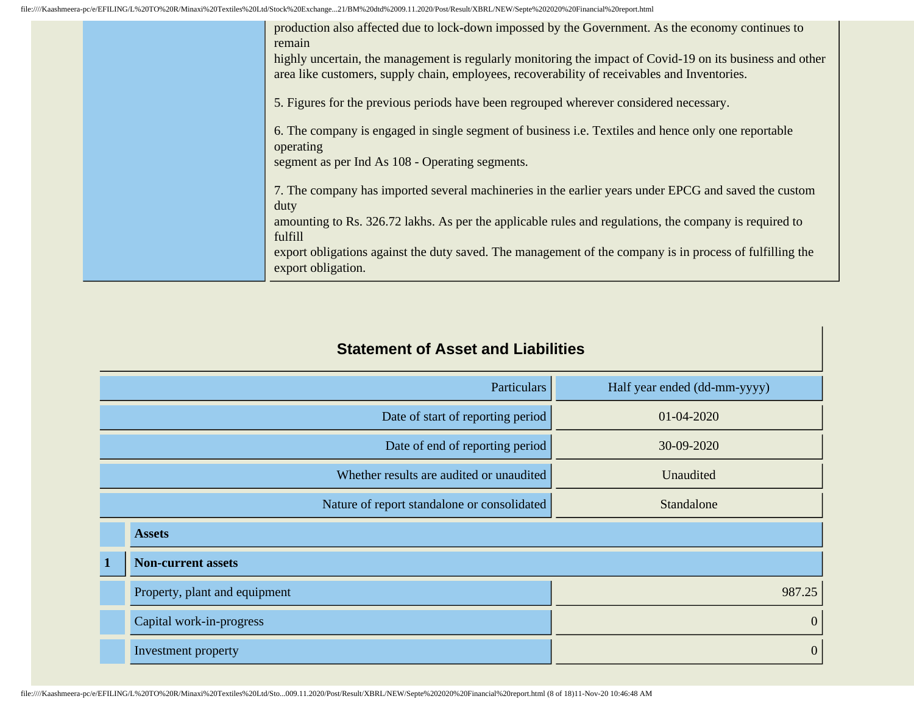|  | production also affected due to lock-down impossed by the Government. As the economy continues to<br>remain<br>highly uncertain, the management is regularly monitoring the impact of Covid-19 on its business and other<br>area like customers, supply chain, employees, recoverability of receivables and Inventories.<br>5. Figures for the previous periods have been regrouped wherever considered necessary.<br>6. The company is engaged in single segment of business i.e. Textiles and hence only one reportable<br>operating<br>segment as per Ind As 108 - Operating segments. |
|--|-------------------------------------------------------------------------------------------------------------------------------------------------------------------------------------------------------------------------------------------------------------------------------------------------------------------------------------------------------------------------------------------------------------------------------------------------------------------------------------------------------------------------------------------------------------------------------------------|
|  | 7. The company has imported several machineries in the earlier years under EPCG and saved the custom<br>duty<br>amounting to Rs. 326.72 lakhs. As per the applicable rules and regulations, the company is required to<br>fulfill<br>export obligations against the duty saved. The management of the company is in process of fulfilling the<br>export obligation.                                                                                                                                                                                                                       |

### **Statement of Asset and Liabilities**

| <b>Particulars</b>              |                               | Half year ended (dd-mm-yyyy)                |                  |
|---------------------------------|-------------------------------|---------------------------------------------|------------------|
|                                 |                               | Date of start of reporting period           | 01-04-2020       |
| Date of end of reporting period |                               | 30-09-2020                                  |                  |
|                                 |                               | Whether results are audited or unaudited    | Unaudited        |
|                                 |                               | Nature of report standalone or consolidated | Standalone       |
|                                 | <b>Assets</b>                 |                                             |                  |
| $\mathbf 1$                     | <b>Non-current assets</b>     |                                             |                  |
|                                 | Property, plant and equipment |                                             | 987.25           |
|                                 | Capital work-in-progress      |                                             | $\mathbf{0}$     |
|                                 | Investment property           |                                             | $\boldsymbol{0}$ |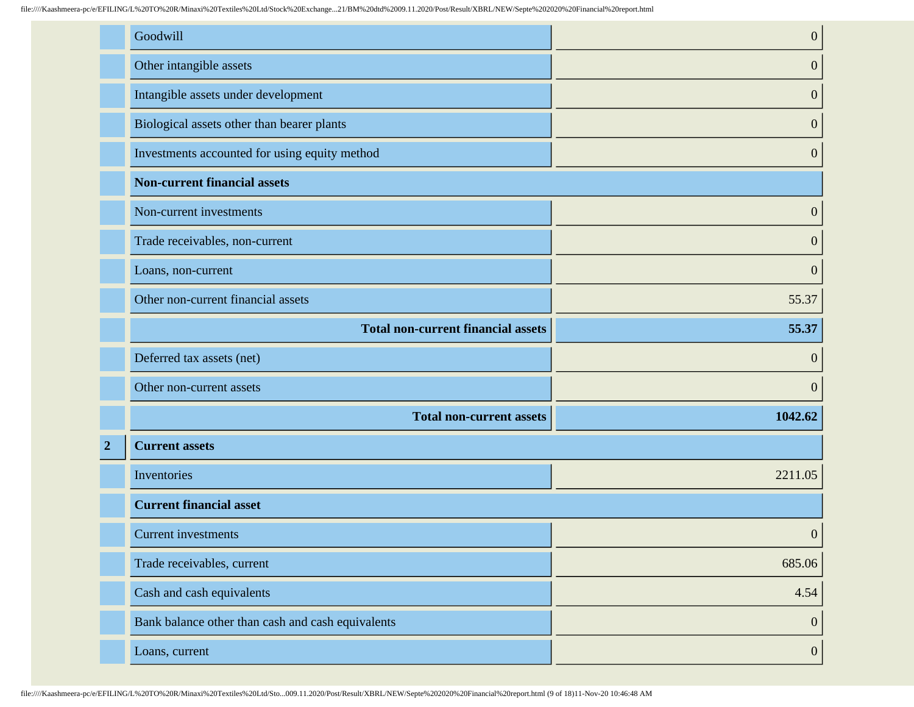|                | Goodwill                                          | $\boldsymbol{0}$ |
|----------------|---------------------------------------------------|------------------|
|                | Other intangible assets                           | $\boldsymbol{0}$ |
|                | Intangible assets under development               | $\boldsymbol{0}$ |
|                | Biological assets other than bearer plants        | $\boldsymbol{0}$ |
|                | Investments accounted for using equity method     | $\boldsymbol{0}$ |
|                | <b>Non-current financial assets</b>               |                  |
|                | Non-current investments                           | $\boldsymbol{0}$ |
|                | Trade receivables, non-current                    | $\boldsymbol{0}$ |
|                | Loans, non-current                                | $\boldsymbol{0}$ |
|                | Other non-current financial assets                | 55.37            |
|                | <b>Total non-current financial assets</b>         | 55.37            |
|                | Deferred tax assets (net)                         | $\boldsymbol{0}$ |
|                | Other non-current assets                          | $\boldsymbol{0}$ |
|                | <b>Total non-current assets</b>                   | 1042.62          |
| $\overline{2}$ | <b>Current assets</b>                             |                  |
|                | Inventories                                       | 2211.05          |
|                | <b>Current financial asset</b>                    |                  |
|                | <b>Current investments</b>                        | $\boldsymbol{0}$ |
|                | Trade receivables, current                        | 685.06           |
|                | Cash and cash equivalents                         | 4.54             |
|                | Bank balance other than cash and cash equivalents | $\boldsymbol{0}$ |
|                | Loans, current                                    | $\boldsymbol{0}$ |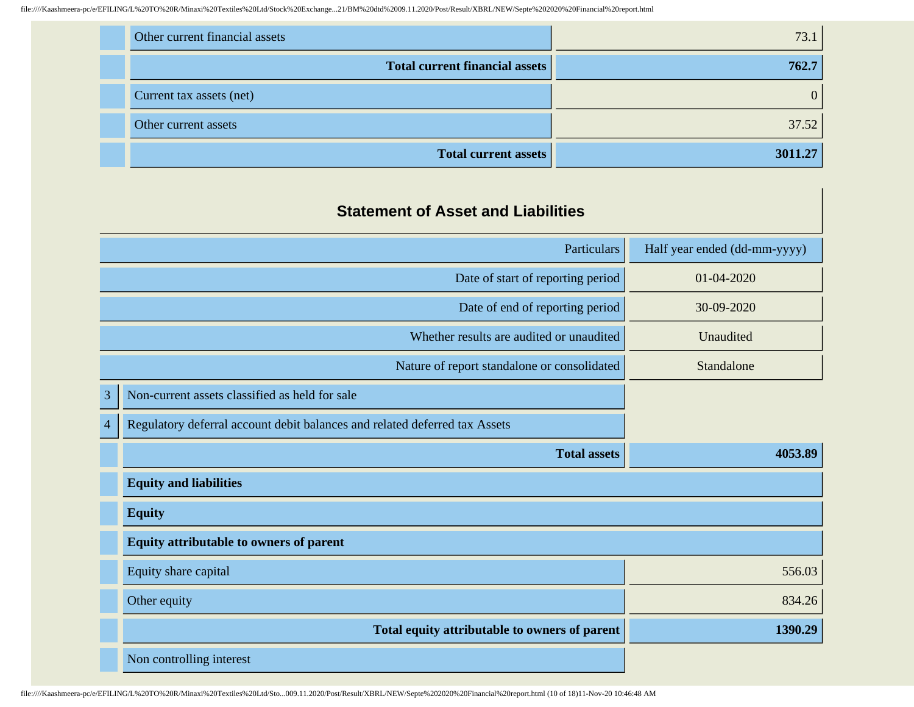| Other current financial assets | 73.1  |
|--------------------------------|-------|
| Total current financial assets | 762.7 |
| Current tax assets (net)       |       |
| Other current assets           | 37.52 |
| Total current assets           | 30    |

| <b>Statement of Asset and Liabilities</b> |  |  |
|-------------------------------------------|--|--|
|-------------------------------------------|--|--|

| Particulars    |                                                                            | Half year ended (dd-mm-yyyy) |
|----------------|----------------------------------------------------------------------------|------------------------------|
|                | Date of start of reporting period                                          | 01-04-2020                   |
|                | Date of end of reporting period                                            | 30-09-2020                   |
|                | Whether results are audited or unaudited                                   | Unaudited                    |
|                | Nature of report standalone or consolidated                                | Standalone                   |
| $\overline{3}$ | Non-current assets classified as held for sale                             |                              |
| $\overline{4}$ | Regulatory deferral account debit balances and related deferred tax Assets |                              |
|                | <b>Total assets</b>                                                        | 4053.89                      |
|                | <b>Equity and liabilities</b>                                              |                              |
|                | <b>Equity</b>                                                              |                              |
|                | <b>Equity attributable to owners of parent</b>                             |                              |
|                | Equity share capital                                                       | 556.03                       |
|                | Other equity                                                               | 834.26                       |
|                | Total equity attributable to owners of parent                              | 1390.29                      |
|                | Non controlling interest                                                   |                              |

file:////Kaashmeera-pc/e/EFILING/L%20TO%20R/Minaxi%20Textiles%20Ltd/Sto...009.11.2020/Post/Result/XBRL/NEW/Septe%202020%20Financial%20report.html (10 of 18)11-Nov-20 10:46:48 AM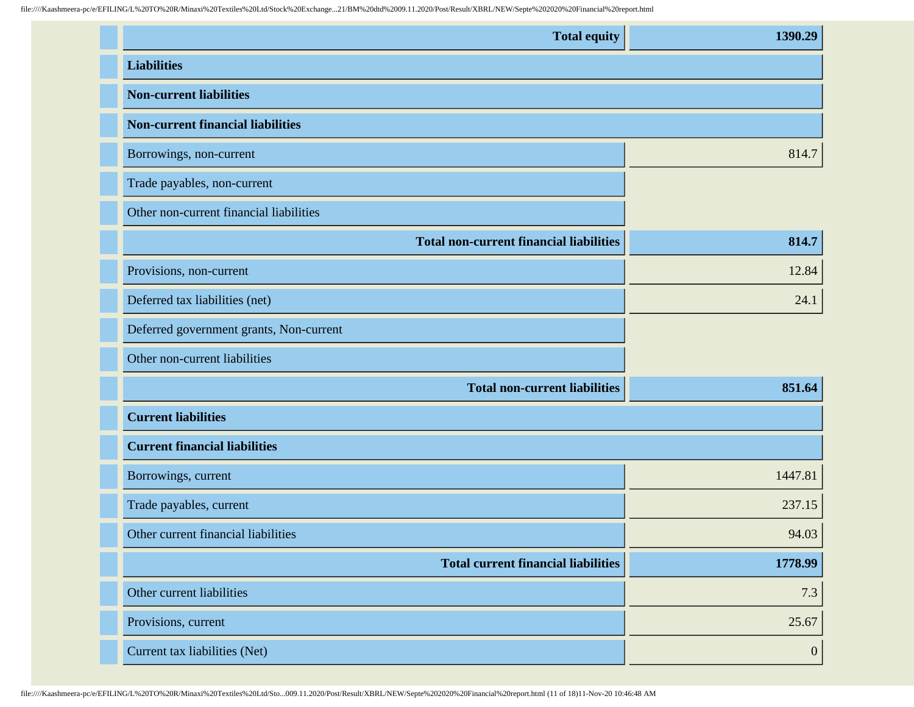| <b>Total equity</b>                            | 1390.29 |
|------------------------------------------------|---------|
| <b>Liabilities</b>                             |         |
| <b>Non-current liabilities</b>                 |         |
| <b>Non-current financial liabilities</b>       |         |
| Borrowings, non-current                        | 814.7   |
| Trade payables, non-current                    |         |
| Other non-current financial liabilities        |         |
| <b>Total non-current financial liabilities</b> | 814.7   |
| Provisions, non-current                        | 12.84   |
| Deferred tax liabilities (net)                 | 24.1    |
| Deferred government grants, Non-current        |         |
| Other non-current liabilities                  |         |
| <b>Total non-current liabilities</b>           | 851.64  |
| <b>Current liabilities</b>                     |         |
| <b>Current financial liabilities</b>           |         |
| Borrowings, current                            | 1447.81 |
| Trade payables, current                        | 237.15  |
| Other current financial liabilities            | 94.03   |
| <b>Total current financial liabilities</b>     | 1778.99 |
| Other current liabilities                      | 7.3     |
| Provisions, current                            | 25.67   |
| Current tax liabilities (Net)                  | 0       |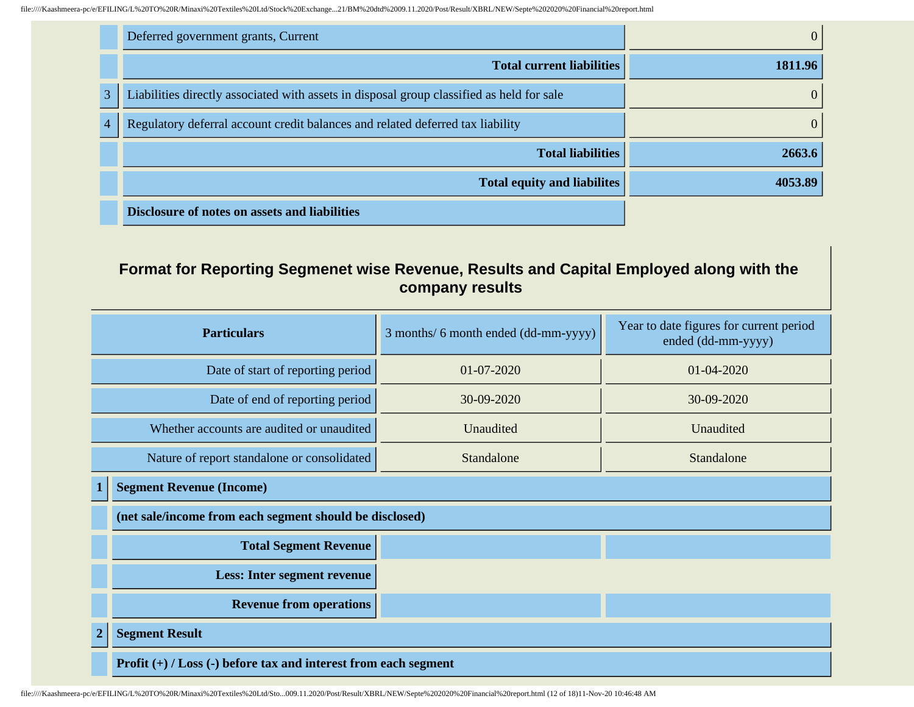|   | Deferred government grants, Current                                                       | $\theta$ |
|---|-------------------------------------------------------------------------------------------|----------|
|   | <b>Total current liabilities</b>                                                          | 1811.96  |
| 3 | Liabilities directly associated with assets in disposal group classified as held for sale | $\theta$ |
|   | Regulatory deferral account credit balances and related deferred tax liability            | $\Omega$ |
|   | <b>Total liabilities</b>                                                                  | 2663.6   |
|   | <b>Total equity and liabilites</b>                                                        | 4053.89  |
|   | <b>Disclosure of notes on assets and liabilities</b>                                      |          |

## **Format for Reporting Segmenet wise Revenue, Results and Capital Employed along with the company results**

| <b>Particulars</b>                          |                                                                     | 3 months/ 6 month ended (dd-mm-yyyy) | Year to date figures for current period<br>ended (dd-mm-yyyy) |
|---------------------------------------------|---------------------------------------------------------------------|--------------------------------------|---------------------------------------------------------------|
| Date of start of reporting period           |                                                                     | $01-07-2020$                         | $01 - 04 - 2020$                                              |
|                                             | Date of end of reporting period                                     | 30-09-2020                           | 30-09-2020                                                    |
| Whether accounts are audited or unaudited   |                                                                     | Unaudited                            | Unaudited                                                     |
| Nature of report standalone or consolidated |                                                                     | Standalone                           | Standalone                                                    |
|                                             | <b>Segment Revenue (Income)</b>                                     |                                      |                                                               |
|                                             | (net sale/income from each segment should be disclosed)             |                                      |                                                               |
|                                             | <b>Total Segment Revenue</b>                                        |                                      |                                                               |
|                                             | <b>Less: Inter segment revenue</b>                                  |                                      |                                                               |
|                                             | <b>Revenue from operations</b>                                      |                                      |                                                               |
| $\mathbf{2}$                                | <b>Segment Result</b>                                               |                                      |                                                               |
|                                             | Profit $(+)$ / Loss $(-)$ before tax and interest from each segment |                                      |                                                               |

file:////Kaashmeera-pc/e/EFILING/L%20TO%20R/Minaxi%20Textiles%20Ltd/Sto...009.11.2020/Post/Result/XBRL/NEW/Septe%202020%20Financial%20report.html (12 of 18)11-Nov-20 10:46:48 AM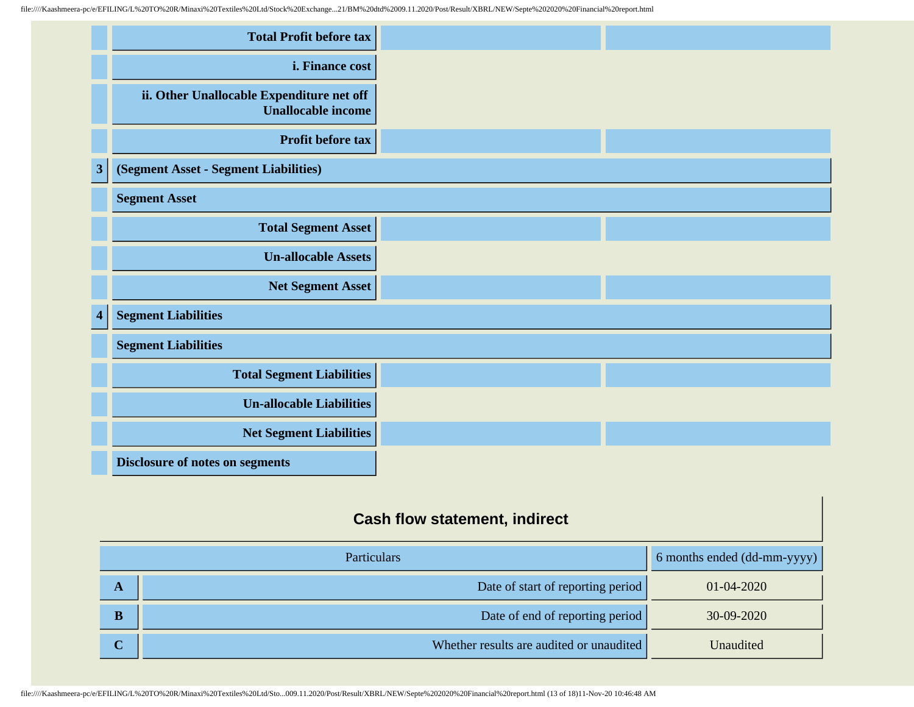|              | <b>Total Profit before tax</b>                                         |  |
|--------------|------------------------------------------------------------------------|--|
|              | i. Finance cost                                                        |  |
|              | ii. Other Unallocable Expenditure net off<br><b>Unallocable income</b> |  |
|              | Profit before tax                                                      |  |
| $\mathbf{3}$ | (Segment Asset - Segment Liabilities)                                  |  |
|              | <b>Segment Asset</b>                                                   |  |
|              | <b>Total Segment Asset</b>                                             |  |
|              | <b>Un-allocable Assets</b>                                             |  |
|              | Net Segment Asset                                                      |  |
| 4            | <b>Segment Liabilities</b>                                             |  |
|              | <b>Segment Liabilities</b>                                             |  |
|              | <b>Total Segment Liabilities</b>                                       |  |
|              | <b>Un-allocable Liabilities</b>                                        |  |
|              | <b>Net Segment Liabilities</b>                                         |  |
|              | <b>Disclosure of notes on segments</b>                                 |  |

# **Cash flow statement, indirect**

| <b>Particulars</b>      |                                          | 6 months ended (dd-mm-yyyy) |
|-------------------------|------------------------------------------|-----------------------------|
| A                       | Date of start of reporting period        | $01 - 04 - 2020$            |
| $\overline{\mathbf{B}}$ | Date of end of reporting period          | 30-09-2020                  |
| U                       | Whether results are audited or unaudited | Unaudited                   |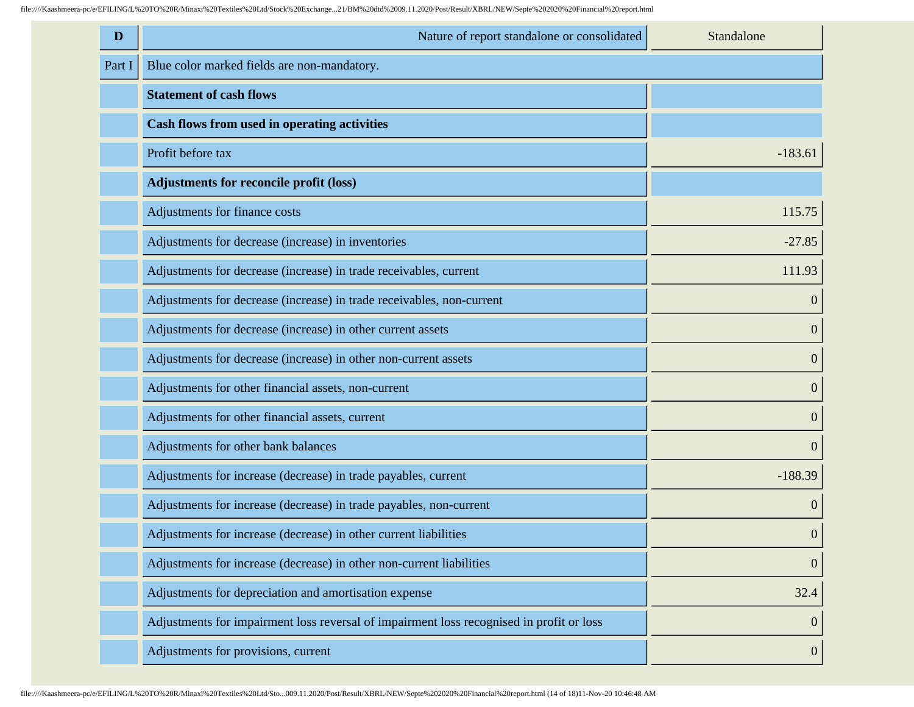| D      | Nature of report standalone or consolidated                                              | Standalone       |
|--------|------------------------------------------------------------------------------------------|------------------|
| Part I | Blue color marked fields are non-mandatory.                                              |                  |
|        | <b>Statement of cash flows</b>                                                           |                  |
|        | Cash flows from used in operating activities                                             |                  |
|        | Profit before tax                                                                        | $-183.61$        |
|        | <b>Adjustments for reconcile profit (loss)</b>                                           |                  |
|        | Adjustments for finance costs                                                            | 115.75           |
|        | Adjustments for decrease (increase) in inventories                                       | $-27.85$         |
|        | Adjustments for decrease (increase) in trade receivables, current                        | 111.93           |
|        | Adjustments for decrease (increase) in trade receivables, non-current                    | $\overline{0}$   |
|        | Adjustments for decrease (increase) in other current assets                              | $\boldsymbol{0}$ |
|        | Adjustments for decrease (increase) in other non-current assets                          | $\boldsymbol{0}$ |
|        | Adjustments for other financial assets, non-current                                      | $\boldsymbol{0}$ |
|        | Adjustments for other financial assets, current                                          | $\boldsymbol{0}$ |
|        | Adjustments for other bank balances                                                      | $\boldsymbol{0}$ |
|        | Adjustments for increase (decrease) in trade payables, current                           | $-188.39$        |
|        | Adjustments for increase (decrease) in trade payables, non-current                       | $\boldsymbol{0}$ |
|        | Adjustments for increase (decrease) in other current liabilities                         | $\boldsymbol{0}$ |
|        | Adjustments for increase (decrease) in other non-current liabilities                     | $\mathbf{0}$     |
|        | Adjustments for depreciation and amortisation expense                                    | 32.4             |
|        | Adjustments for impairment loss reversal of impairment loss recognised in profit or loss | $\boldsymbol{0}$ |
|        | Adjustments for provisions, current                                                      | $\boldsymbol{0}$ |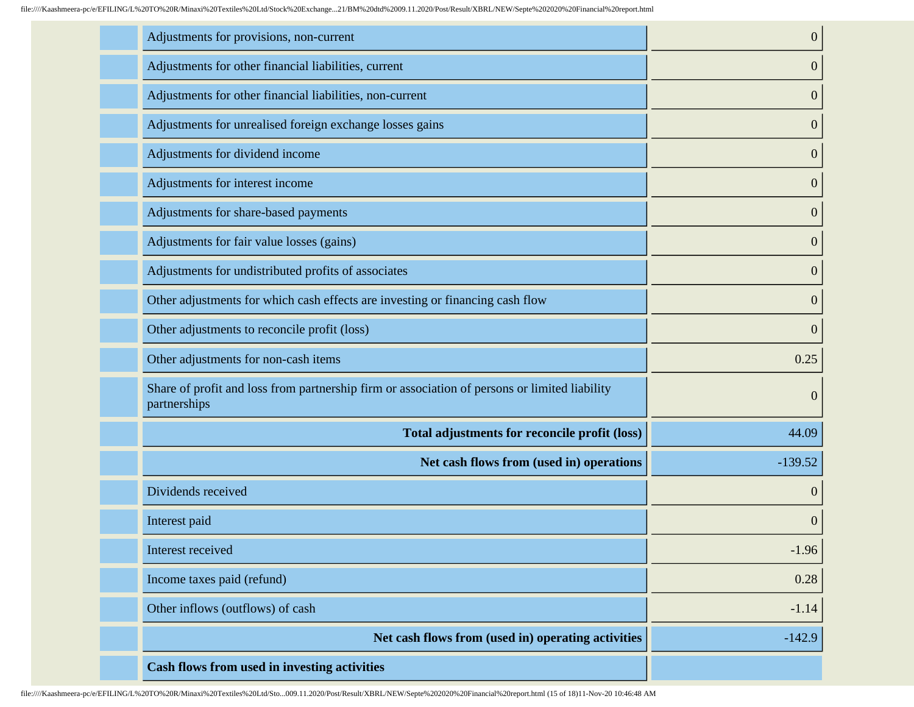| Adjustments for provisions, non-current                                                                       | $\overline{0}$   |
|---------------------------------------------------------------------------------------------------------------|------------------|
| Adjustments for other financial liabilities, current                                                          | $\boldsymbol{0}$ |
| Adjustments for other financial liabilities, non-current                                                      | $\mathbf{0}$     |
| Adjustments for unrealised foreign exchange losses gains                                                      | $\boldsymbol{0}$ |
| Adjustments for dividend income                                                                               | $\mathbf{0}$     |
| Adjustments for interest income                                                                               | $\boldsymbol{0}$ |
| Adjustments for share-based payments                                                                          | $\mathbf{0}$     |
| Adjustments for fair value losses (gains)                                                                     | $\boldsymbol{0}$ |
| Adjustments for undistributed profits of associates                                                           | $\boldsymbol{0}$ |
| Other adjustments for which cash effects are investing or financing cash flow                                 | $\overline{0}$   |
| Other adjustments to reconcile profit (loss)                                                                  | $\boldsymbol{0}$ |
| Other adjustments for non-cash items                                                                          | 0.25             |
| Share of profit and loss from partnership firm or association of persons or limited liability<br>partnerships | $\boldsymbol{0}$ |
| Total adjustments for reconcile profit (loss)                                                                 | 44.09            |
| Net cash flows from (used in) operations                                                                      | $-139.52$        |
| Dividends received                                                                                            | $\overline{0}$   |
| Interest paid                                                                                                 | $\boldsymbol{0}$ |
| Interest received                                                                                             | $-1.96$          |
| Income taxes paid (refund)                                                                                    | 0.28             |
| Other inflows (outflows) of cash                                                                              | $-1.14$          |
| Net cash flows from (used in) operating activities                                                            | $-142.9$         |
| Cash flows from used in investing activities                                                                  |                  |

file:////Kaashmeera-pc/e/EFILING/L%20TO%20R/Minaxi%20Textiles%20Ltd/Sto...009.11.2020/Post/Result/XBRL/NEW/Septe%202020%20Financial%20report.html (15 of 18)11-Nov-20 10:46:48 AM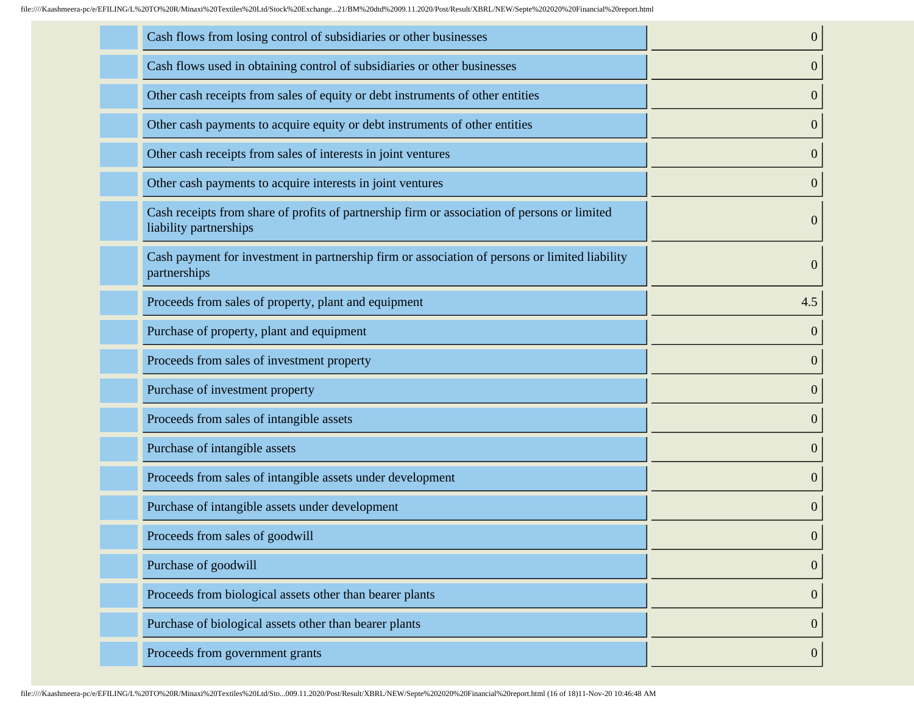| Cash flows from losing control of subsidiaries or other businesses                                                     | $\boldsymbol{0}$ |
|------------------------------------------------------------------------------------------------------------------------|------------------|
| Cash flows used in obtaining control of subsidiaries or other businesses                                               | $\boldsymbol{0}$ |
| Other cash receipts from sales of equity or debt instruments of other entities                                         | $\boldsymbol{0}$ |
| Other cash payments to acquire equity or debt instruments of other entities                                            | $\overline{0}$   |
| Other cash receipts from sales of interests in joint ventures                                                          | $\overline{0}$   |
| Other cash payments to acquire interests in joint ventures                                                             | $\boldsymbol{0}$ |
| Cash receipts from share of profits of partnership firm or association of persons or limited<br>liability partnerships | $\boldsymbol{0}$ |
| Cash payment for investment in partnership firm or association of persons or limited liability<br>partnerships         | $\boldsymbol{0}$ |
| Proceeds from sales of property, plant and equipment                                                                   | 4.5              |
| Purchase of property, plant and equipment                                                                              | $\overline{0}$   |
| Proceeds from sales of investment property                                                                             | $\boldsymbol{0}$ |
| Purchase of investment property                                                                                        | $\overline{0}$   |
| Proceeds from sales of intangible assets                                                                               | $\boldsymbol{0}$ |
| Purchase of intangible assets                                                                                          | $\boldsymbol{0}$ |
| Proceeds from sales of intangible assets under development                                                             | $\overline{0}$   |
| Purchase of intangible assets under development                                                                        | $\mathbf{0}$     |
| Proceeds from sales of goodwill                                                                                        | $\boldsymbol{0}$ |
| Purchase of goodwill                                                                                                   | $\boldsymbol{0}$ |
| Proceeds from biological assets other than bearer plants                                                               | $\mathbf{0}$     |
| Purchase of biological assets other than bearer plants                                                                 | $\boldsymbol{0}$ |
| Proceeds from government grants                                                                                        | $\boldsymbol{0}$ |
|                                                                                                                        |                  |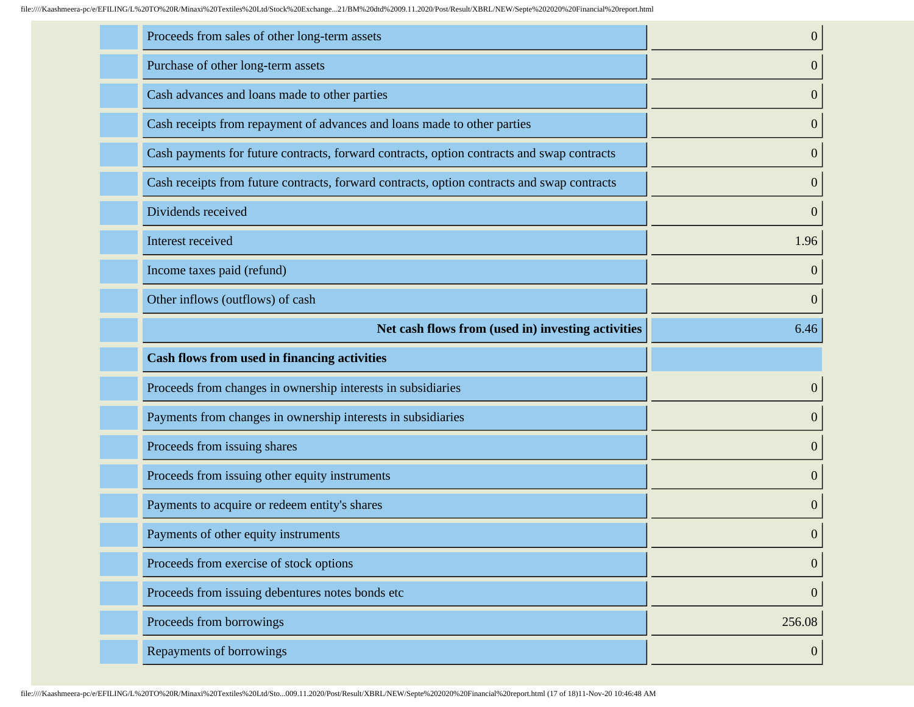| Proceeds from sales of other long-term assets                                               | $\boldsymbol{0}$ |
|---------------------------------------------------------------------------------------------|------------------|
| Purchase of other long-term assets                                                          | $\boldsymbol{0}$ |
| Cash advances and loans made to other parties                                               | $\boldsymbol{0}$ |
| Cash receipts from repayment of advances and loans made to other parties                    | $\boldsymbol{0}$ |
| Cash payments for future contracts, forward contracts, option contracts and swap contracts  | $\boldsymbol{0}$ |
| Cash receipts from future contracts, forward contracts, option contracts and swap contracts | $\boldsymbol{0}$ |
| Dividends received                                                                          | $\boldsymbol{0}$ |
| Interest received                                                                           | 1.96             |
| Income taxes paid (refund)                                                                  | $\overline{0}$   |
| Other inflows (outflows) of cash                                                            | $\boldsymbol{0}$ |
| Net cash flows from (used in) investing activities                                          | 6.46             |
|                                                                                             |                  |
| <b>Cash flows from used in financing activities</b>                                         |                  |
| Proceeds from changes in ownership interests in subsidiaries                                | $\boldsymbol{0}$ |
| Payments from changes in ownership interests in subsidiaries                                | $\boldsymbol{0}$ |
| Proceeds from issuing shares                                                                | $\boldsymbol{0}$ |
| Proceeds from issuing other equity instruments                                              | $\boldsymbol{0}$ |
| Payments to acquire or redeem entity's shares                                               | $\boldsymbol{0}$ |
| Payments of other equity instruments                                                        | $\boldsymbol{0}$ |
| Proceeds from exercise of stock options                                                     | $\boldsymbol{0}$ |
| Proceeds from issuing debentures notes bonds etc                                            | $\boldsymbol{0}$ |
| Proceeds from borrowings                                                                    | 256.08           |